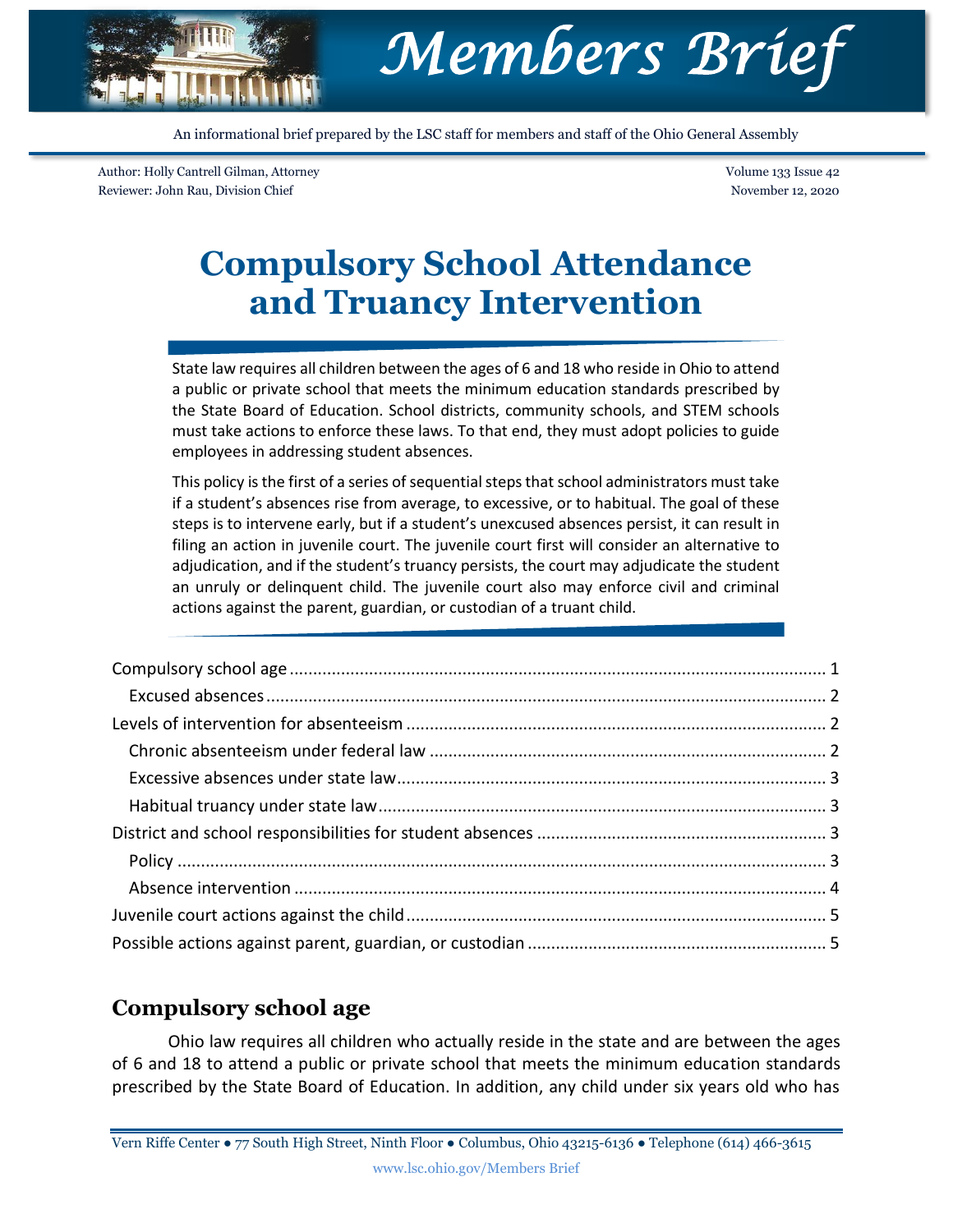

An informational brief prepared by the LSC staff for members and staff of the Ohio General Assembly

Author: Holly Cantrell Gilman, Attorney Reviewer: John Rau, Division Chief

Volume 133 Issue 42 November 12, 2020

# **Compulsory School Attendance and Truancy Intervention**

State law requires all children between the ages of 6 and 18 who reside in Ohio to attend a public or private school that meets the minimum education standards prescribed by the State Board of Education. School districts, community schools, and STEM schools must take actions to enforce these laws. To that end, they must adopt policies to guide employees in addressing student absences.

This policy is the first of a series of sequential steps that school administrators must take if a student's absences rise from average, to excessive, or to habitual. The goal of these steps is to intervene early, but if a student's unexcused absences persist, it can result in filing an action in juvenile court. The juvenile court first will consider an alternative to adjudication, and if the student's truancy persists, the court may adjudicate the student an unruly or delinquent child. The juvenile court also may enforce civil and criminal actions against the parent, guardian, or custodian of a truant child.

## <span id="page-0-0"></span>**Compulsory school age**

Ohio law requires all children who actually reside in the state and are between the ages of 6 and 18 to attend a public or private school that meets the minimum education standards prescribed by the State Board of Education. In addition, any child under six years old who has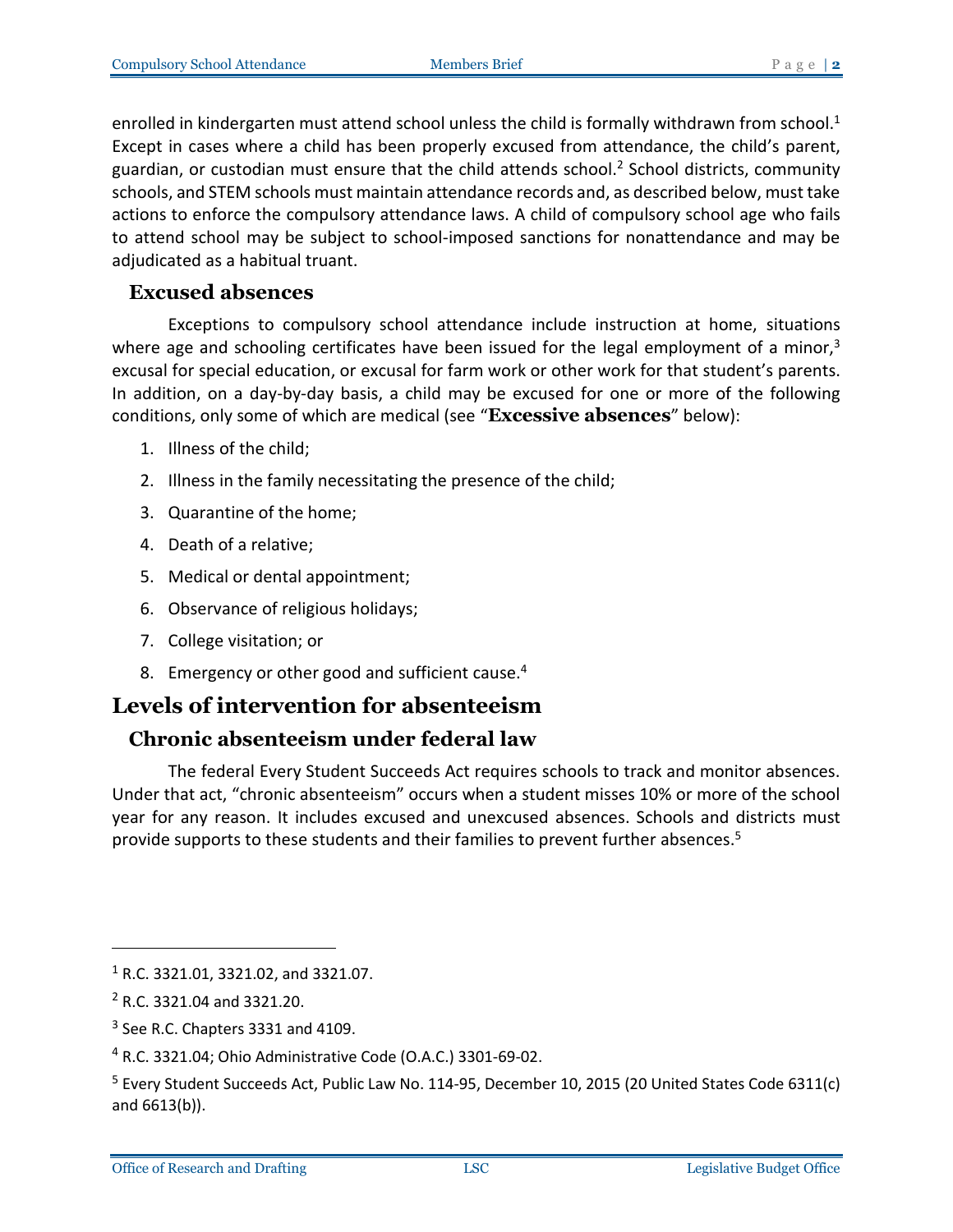enrolled in kindergarten must attend school unless the child is formally withdrawn from school.<sup>1</sup> Except in cases where a child has been properly excused from attendance, the child's parent, guardian, or custodian must ensure that the child attends school.<sup>2</sup> School districts, community schools, and STEM schools must maintain attendance records and, as described below, must take actions to enforce the compulsory attendance laws. A child of compulsory school age who fails to attend school may be subject to school-imposed sanctions for nonattendance and may be adjudicated as a habitual truant.

#### <span id="page-1-0"></span>**Excused absences**

Exceptions to compulsory school attendance include instruction at home, situations where age and schooling certificates have been issued for the legal employment of a minor, $3$ excusal for special education, or excusal for farm work or other work for that student's parents. In addition, on a day-by-day basis, a child may be excused for one or more of the following conditions, only some of which are medical (see "**Excessive absences**" below):

- 1. Illness of the child;
- 2. Illness in the family necessitating the presence of the child;
- 3. Quarantine of the home;
- 4. Death of a relative;
- 5. Medical or dental appointment;
- 6. Observance of religious holidays;
- 7. College visitation; or
- 8. Emergency or other good and sufficient cause.<sup>4</sup>

# <span id="page-1-1"></span>**Levels of intervention for absenteeism**

#### <span id="page-1-2"></span>**Chronic absenteeism under federal law**

The federal Every Student Succeeds Act requires schools to track and monitor absences. Under that act, "chronic absenteeism" occurs when a student misses 10% or more of the school year for any reason. It includes excused and unexcused absences. Schools and districts must provide supports to these students and their families to prevent further absences. 5

<sup>1</sup> R.C. 3321.01, 3321.02, and 3321.07.

<sup>2</sup> R.C. 3321.04 and 3321.20.

 $3$  See R.C. Chapters 3331 and 4109.

<sup>4</sup> R.C. 3321.04; Ohio Administrative Code (O.A.C.) 3301-69-02.

<sup>5</sup> Every Student Succeeds Act, Public Law No. 114-95, December 10, 2015 (20 United States Code 6311(c) and 6613(b)).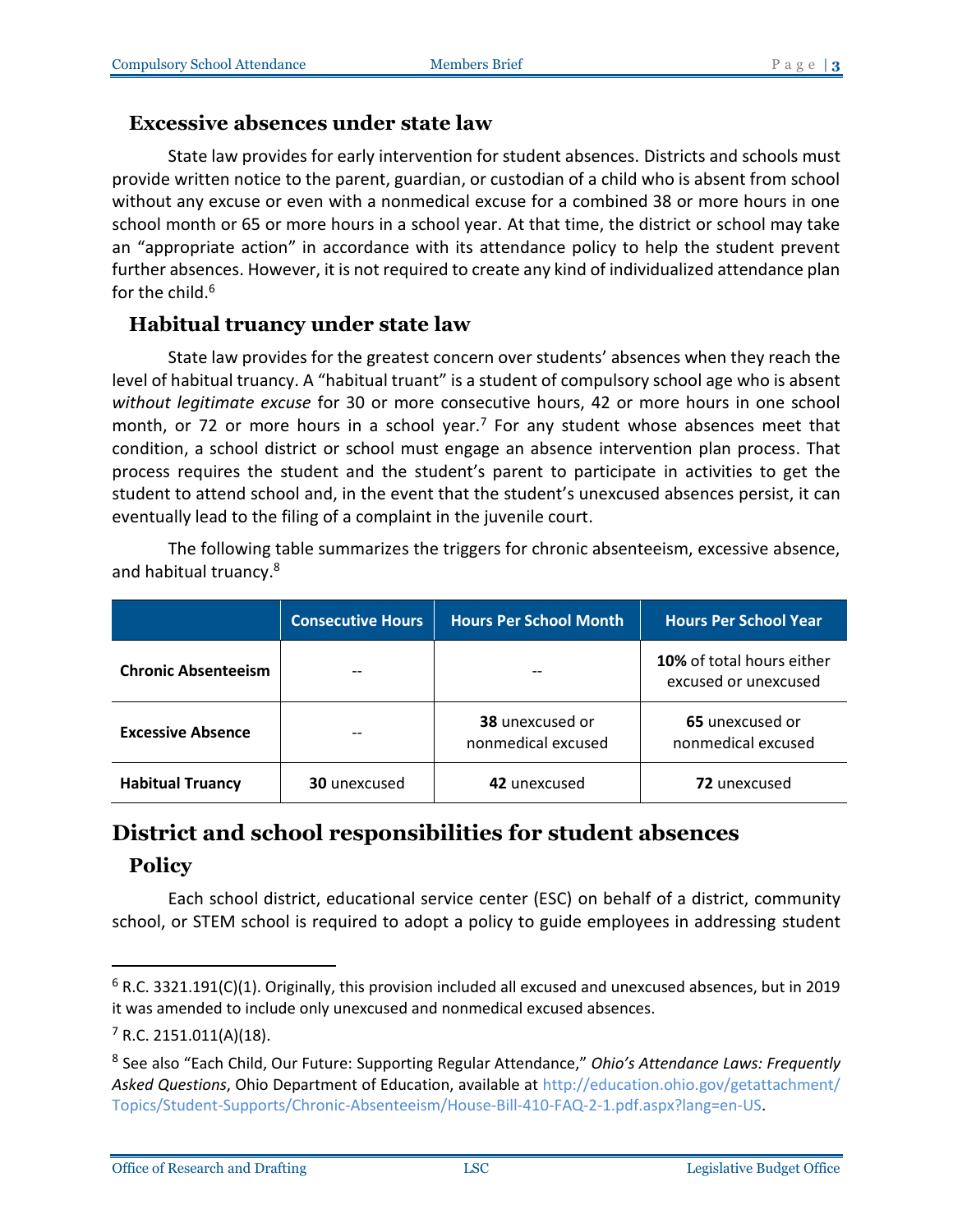#### <span id="page-2-0"></span>**Excessive absences under state law**

State law provides for early intervention for student absences. Districts and schools must provide written notice to the parent, guardian, or custodian of a child who is absent from school without any excuse or even with a nonmedical excuse for a combined 38 or more hours in one school month or 65 or more hours in a school year. At that time, the district or school may take an "appropriate action" in accordance with its attendance policy to help the student prevent further absences. However, it is not required to create any kind of individualized attendance plan for the child. $6$ 

#### <span id="page-2-1"></span>**Habitual truancy under state law**

State law provides for the greatest concern over students' absences when they reach the level of habitual truancy. A "habitual truant" is a student of compulsory school age who is absent *without legitimate excuse* for 30 or more consecutive hours, 42 or more hours in one school month, or 72 or more hours in a school year.<sup>7</sup> For any student whose absences meet that condition, a school district or school must engage an absence intervention plan process. That process requires the student and the student's parent to participate in activities to get the student to attend school and, in the event that the student's unexcused absences persist, it can eventually lead to the filing of a complaint in the juvenile court.

The following table summarizes the triggers for chronic absenteeism, excessive absence, and habitual truancy. 8

|                            | <b>Consecutive Hours</b> | <b>Hours Per School Month</b>                | <b>Hours Per School Year</b>                             |
|----------------------------|--------------------------|----------------------------------------------|----------------------------------------------------------|
| <b>Chronic Absenteeism</b> |                          |                                              | <b>10%</b> of total hours either<br>excused or unexcused |
| <b>Excessive Absence</b>   |                          | <b>38</b> unexcused or<br>nonmedical excused | 65 unexcused or<br>nonmedical excused                    |
| <b>Habitual Truancy</b>    | <b>30</b> unexcused      | 42 unexcused                                 | 72 unexcused                                             |

# <span id="page-2-2"></span>**District and school responsibilities for student absences Policy**

<span id="page-2-3"></span>Each school district, educational service center (ESC) on behalf of a district, community school, or STEM school is required to adopt a policy to guide employees in addressing student

 $6$  R.C. 3321.191(C)(1). Originally, this provision included all excused and unexcused absences, but in 2019 it was amended to include only unexcused and nonmedical excused absences.

 $7$  R.C. 2151.011(A)(18).

<sup>8</sup> See also "Each Child, Our Future: Supporting Regular Attendance," *Ohio's Attendance Laws: Frequently Asked Questions*, Ohio Department of Education, available at [http://education.ohio.gov/getattachment/](http://education.ohio.gov/getattachment/Topics/Student-Supports/Chronic-Absenteeism/House-Bill-410-FAQ-2-1.pdf.aspx?lang=en-US) [Topics/Student-Supports/Chronic-Absenteeism/House-Bill-410-FAQ-2-1.pdf.aspx?lang=en-US.](http://education.ohio.gov/getattachment/Topics/Student-Supports/Chronic-Absenteeism/House-Bill-410-FAQ-2-1.pdf.aspx?lang=en-US)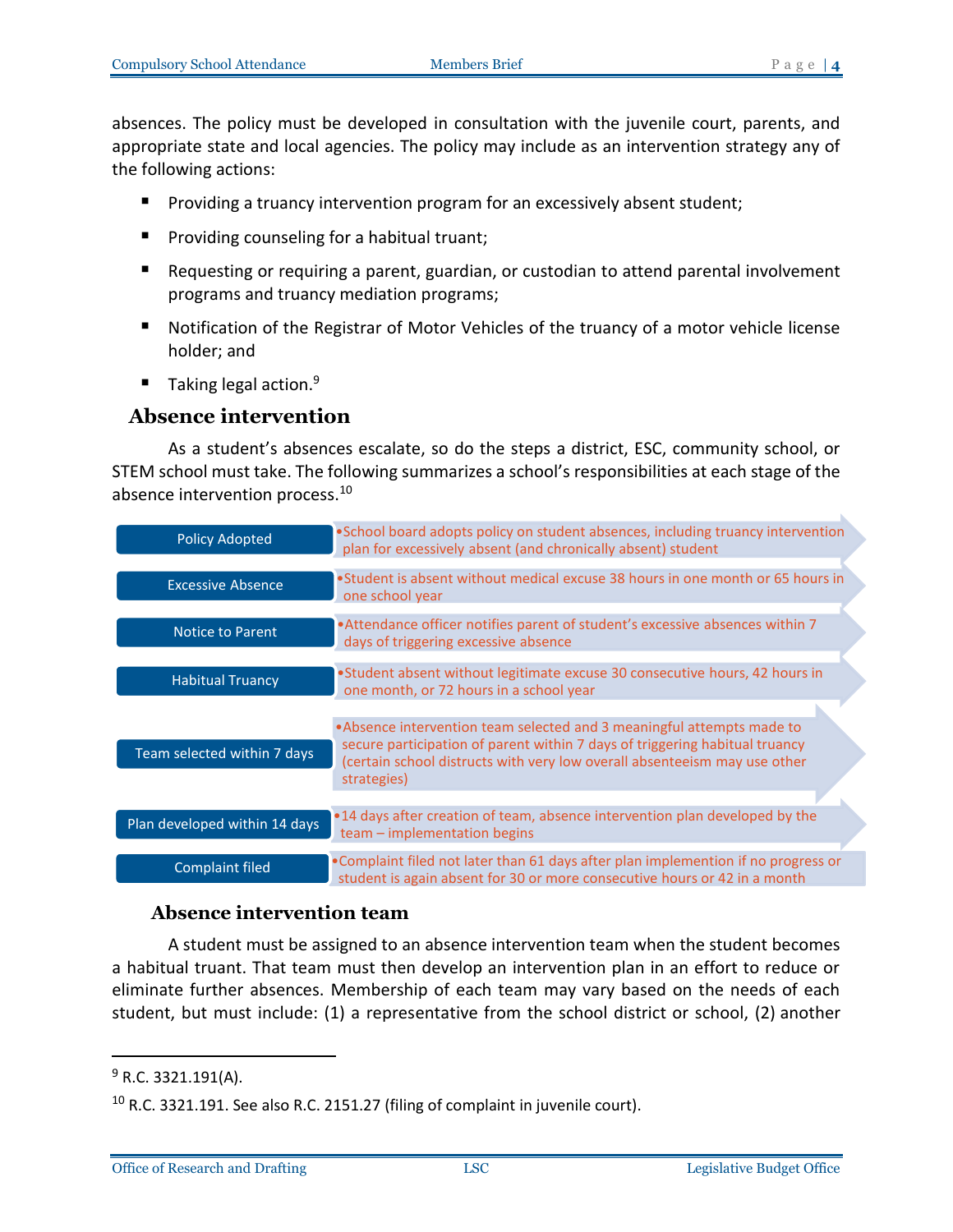absences. The policy must be developed in consultation with the juvenile court, parents, and appropriate state and local agencies. The policy may include as an intervention strategy any of the following actions:

- **Providing a truancy intervention program for an excessively absent student;**
- **Providing counseling for a habitual truant;**
- Requesting or requiring a parent, guardian, or custodian to attend parental involvement programs and truancy mediation programs;
- Notification of the Registrar of Motor Vehicles of the truancy of a motor vehicle license holder; and
- Taking legal action.<sup>9</sup>

#### <span id="page-3-0"></span>**Absence intervention**

As a student's absences escalate, so do the steps a district, ESC, community school, or STEM school must take. The following summarizes a school's responsibilities at each stage of the absence intervention process. 10

| <b>Policy Adopted</b>         | . School board adopts policy on student absences, including truancy intervention<br>plan for excessively absent (and chronically absent) student                                                                                                  |
|-------------------------------|---------------------------------------------------------------------------------------------------------------------------------------------------------------------------------------------------------------------------------------------------|
| <b>Excessive Absence</b>      | •Student is absent without medical excuse 38 hours in one month or 65 hours in<br>one school year                                                                                                                                                 |
| <b>Notice to Parent</b>       | • Attendance officer notifies parent of student's excessive absences within 7<br>days of triggering excessive absence                                                                                                                             |
| <b>Habitual Truancy</b>       | •Student absent without legitimate excuse 30 consecutive hours, 42 hours in<br>one month, or 72 hours in a school year                                                                                                                            |
| Team selected within 7 days   | • Absence intervention team selected and 3 meaningful attempts made to<br>secure participation of parent within 7 days of triggering habitual truancy<br>(certain school distructs with very low overall absenteeism may use other<br>strategies) |
| Plan developed within 14 days | .14 days after creation of team, absence intervention plan developed by the<br>team - implementation begins                                                                                                                                       |
| <b>Complaint filed</b>        | • Complaint filed not later than 61 days after plan implemention if no progress or<br>student is again absent for 30 or more consecutive hours or 42 in a month                                                                                   |

#### **Absence intervention team**

A student must be assigned to an absence intervention team when the student becomes a habitual truant. That team must then develop an intervention plan in an effort to reduce or eliminate further absences. Membership of each team may vary based on the needs of each student, but must include: (1) a representative from the school district or school, (2) another

 $9$  R.C. 3321.191(A).

 $10$  R.C. 3321.191. See also R.C. 2151.27 (filing of complaint in juvenile court).